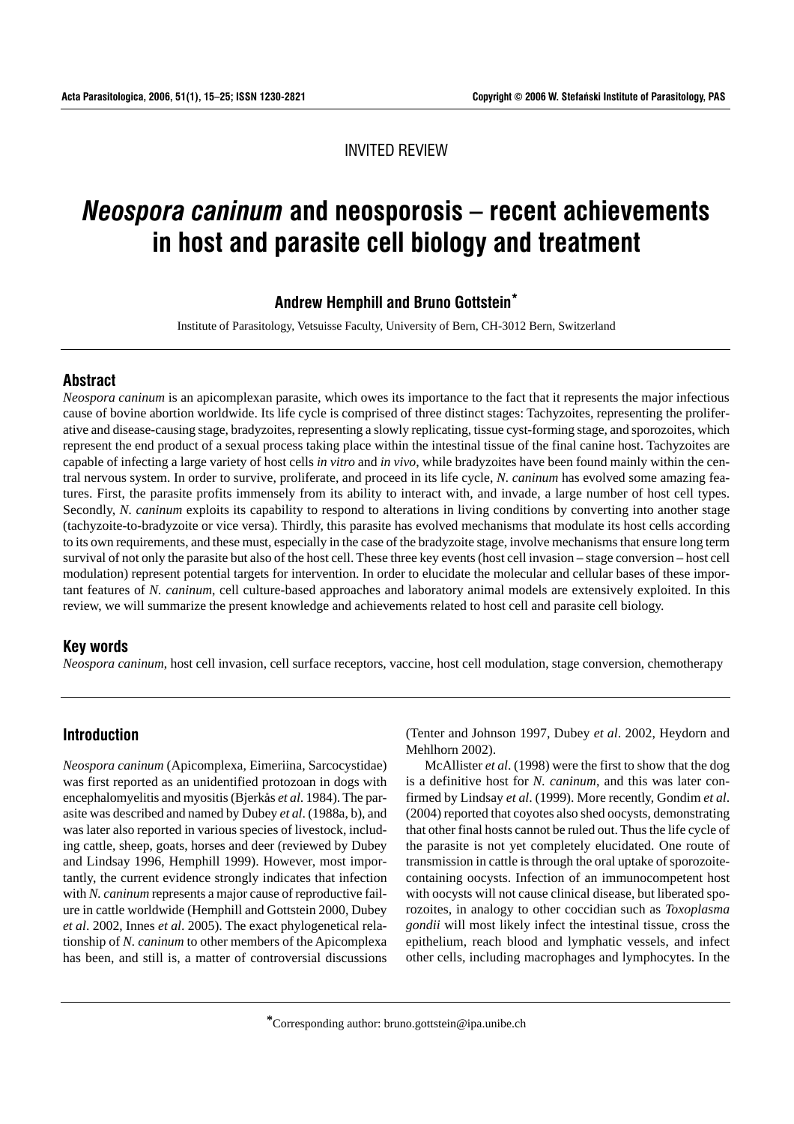# INVITED REVIEW

# *Neospora caninum* **and neosporosis – recent achievements in host and parasite cell biology and treatment**

# **Andrew Hemphill and Bruno Gottstein\***

Institute of Parasitology, Vetsuisse Faculty, University of Bern, CH-3012 Bern, Switzerland

## **Abstract**

*Neospora caninum* is an apicomplexan parasite, which owes its importance to the fact that it represents the major infectious cause of bovine abortion worldwide. Its life cycle is comprised of three distinct stages: Tachyzoites, representing the proliferative and disease-causing stage, bradyzoites, representing a slowly replicating, tissue cyst-forming stage, and sporozoites, which represent the end product of a sexual process taking place within the intestinal tissue of the final canine host. Tachyzoites are capable of infecting a large variety of host cells *in vitro* and *in vivo*, while bradyzoites have been found mainly within the central nervous system. In order to survive, proliferate, and proceed in its life cycle, *N. caninum* has evolved some amazing features. First, the parasite profits immensely from its ability to interact with, and invade, a large number of host cell types. Secondly, *N. caninum* exploits its capability to respond to alterations in living conditions by converting into another stage (tachyzoite-to-bradyzoite or vice versa). Thirdly, this parasite has evolved mechanisms that modulate its host cells according to its own requirements, and these must, especially in the case of the bradyzoite stage, involve mechanisms that ensure long term survival of not only the parasite but also of the host cell. These three key events (host cell invasion – stage conversion – host cell modulation) represent potential targets for intervention. In order to elucidate the molecular and cellular bases of these important features of *N. caninum*, cell culture-based approaches and laboratory animal models are extensively exploited. In this review, we will summarize the present knowledge and achievements related to host cell and parasite cell biology.

## **Key words**

*Neospora caninum*, host cell invasion, cell surface receptors, vaccine, host cell modulation, stage conversion, chemotherapy

# **Introduction**

*Neospora caninum* (Apicomplexa, Eimeriina, Sarcocystidae) was first reported as an unidentified protozoan in dogs with encephalomyelitis and myositis (Bierkås *et al.* 1984). The parasite was described and named by Dubey *et al*. (1988a, b), and was later also reported in various species of livestock, including cattle, sheep, goats, horses and deer (reviewed by Dubey and Lindsay 1996, Hemphill 1999). However, most importantly, the current evidence strongly indicates that infection with *N. caninum* represents a major cause of reproductive failure in cattle worldwide (Hemphill and Gottstein 2000, Dubey *et al*. 2002, Innes *et al*. 2005). The exact phylogenetical relationship of *N. caninum* to other members of the Apicomplexa has been, and still is, a matter of controversial discussions (Tenter and Johnson 1997, Dubey *et al*. 2002, Heydorn and Mehlhorn 2002).

McAllister *et al*. (1998) were the first to show that the dog is a definitive host for *N. caninum*, and this was later confirmed by Lindsay *et al*. (1999). More recently, Gondim *et al*. (2004) reported that coyotes also shed oocysts, demonstrating that other final hosts cannot be ruled out. Thus the life cycle of the parasite is not yet completely elucidated. One route of transmission in cattle is through the oral uptake of sporozoitecontaining oocysts. Infection of an immunocompetent host with oocysts will not cause clinical disease, but liberated sporozoites, in analogy to other coccidian such as *Toxoplasma gondii* will most likely infect the intestinal tissue, cross the epithelium, reach blood and lymphatic vessels, and infect other cells, including macrophages and lymphocytes. In the

**<sup>\*</sup>**Corresponding author: bruno.gottstein@ipa.unibe.ch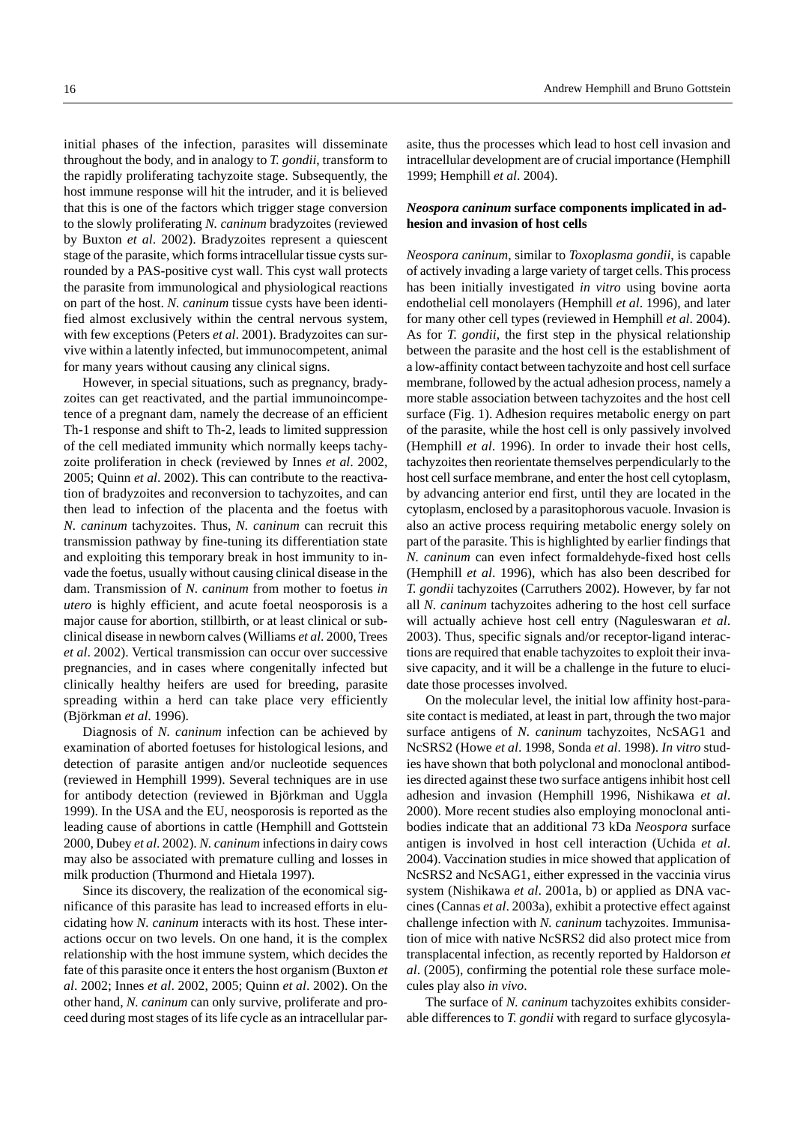initial phases of the infection, parasites will disseminate throughout the body, and in analogy to *T. gondii*, transform to the rapidly proliferating tachyzoite stage. Subsequently, the host immune response will hit the intruder, and it is believed that this is one of the factors which trigger stage conversion to the slowly proliferating *N. caninum* bradyzoites (reviewed by Buxton *et al*. 2002). Bradyzoites represent a quiescent stage of the parasite, which forms intracellular tissue cysts surrounded by a PAS-positive cyst wall. This cyst wall protects the parasite from immunological and physiological reactions on part of the host. *N. caninum* tissue cysts have been identified almost exclusively within the central nervous system, with few exceptions (Peters *et al*. 2001). Bradyzoites can survive within a latently infected, but immunocompetent, animal for many years without causing any clinical signs.

However, in special situations, such as pregnancy, bradyzoites can get reactivated, and the partial immunoincompetence of a pregnant dam, namely the decrease of an efficient Th-1 response and shift to Th-2, leads to limited suppression of the cell mediated immunity which normally keeps tachyzoite proliferation in check (reviewed by Innes *et al*. 2002, 2005; Quinn *et al*. 2002). This can contribute to the reactivation of bradyzoites and reconversion to tachyzoites, and can then lead to infection of the placenta and the foetus with *N. caninum* tachyzoites. Thus, *N. caninum* can recruit this transmission pathway by fine-tuning its differentiation state and exploiting this temporary break in host immunity to invade the foetus, usually without causing clinical disease in the dam. Transmission of *N. caninum* from mother to foetus *in utero* is highly efficient, and acute foetal neosporosis is a major cause for abortion, stillbirth, or at least clinical or subclinical disease in newborn calves (Williams *et al*. 2000, Trees *et al*. 2002). Vertical transmission can occur over successive pregnancies, and in cases where congenitally infected but clinically healthy heifers are used for breeding, parasite spreading within a herd can take place very efficiently (Björkman *et al*. 1996).

Diagnosis of *N. caninum* infection can be achieved by examination of aborted foetuses for histological lesions, and detection of parasite antigen and/or nucleotide sequences (reviewed in Hemphill 1999). Several techniques are in use for antibody detection (reviewed in Björkman and Uggla 1999). In the USA and the EU, neosporosis is reported as the leading cause of abortions in cattle (Hemphill and Gottstein 2000, Dubey *et al*. 2002). *N. caninum* infections in dairy cows may also be associated with premature culling and losses in milk production (Thurmond and Hietala 1997).

Since its discovery, the realization of the economical significance of this parasite has lead to increased efforts in elucidating how *N. caninum* interacts with its host. These interactions occur on two levels. On one hand, it is the complex relationship with the host immune system, which decides the fate of this parasite once it enters the host organism (Buxton *et al*. 2002; Innes *et al*. 2002, 2005; Quinn *et al*. 2002). On the other hand, *N. caninum* can only survive, proliferate and proceed during most stages of its life cycle as an intracellular parasite, thus the processes which lead to host cell invasion and intracellular development are of crucial importance (Hemphill 1999; Hemphill *et al*. 2004).

#### *Neospora caninum* **surface components implicated in adhesion and invasion of host cells**

*Neospora caninum*, similar to *Toxoplasma gondii*, is capable of actively invading a large variety of target cells. This process has been initially investigated *in vitro* using bovine aorta endothelial cell monolayers (Hemphill *et al*. 1996), and later for many other cell types (reviewed in Hemphill *et al*. 2004). As for *T. gondii*, the first step in the physical relationship between the parasite and the host cell is the establishment of a low-affinity contact between tachyzoite and host cell surface membrane, followed by the actual adhesion process, namely a more stable association between tachyzoites and the host cell surface (Fig. 1). Adhesion requires metabolic energy on part of the parasite, while the host cell is only passively involved (Hemphill *et al*. 1996). In order to invade their host cells, tachyzoites then reorientate themselves perpendicularly to the host cell surface membrane, and enter the host cell cytoplasm, by advancing anterior end first, until they are located in the cytoplasm, enclosed by a parasitophorous vacuole. Invasion is also an active process requiring metabolic energy solely on part of the parasite. This is highlighted by earlier findings that *N. caninum* can even infect formaldehyde-fixed host cells (Hemphill *et al*. 1996), which has also been described for *T. gondii* tachyzoites (Carruthers 2002). However, by far not all *N. caninum* tachyzoites adhering to the host cell surface will actually achieve host cell entry (Naguleswaran *et al*. 2003). Thus, specific signals and/or receptor-ligand interactions are required that enable tachyzoites to exploit their invasive capacity, and it will be a challenge in the future to elucidate those processes involved.

On the molecular level, the initial low affinity host-parasite contact is mediated, at least in part, through the two major surface antigens of *N. caninum* tachyzoites, NcSAG1 and NcSRS2 (Howe *et al*. 1998, Sonda *et al*. 1998). *In vitro* studies have shown that both polyclonal and monoclonal antibodies directed against these two surface antigens inhibit host cell adhesion and invasion (Hemphill 1996, Nishikawa *et al*. 2000). More recent studies also employing monoclonal antibodies indicate that an additional 73 kDa *Neospora* surface antigen is involved in host cell interaction (Uchida *et al*. 2004). Vaccination studies in mice showed that application of NcSRS2 and NcSAG1, either expressed in the vaccinia virus system (Nishikawa *et al*. 2001a, b) or applied as DNA vaccines (Cannas *et al*. 2003a), exhibit a protective effect against challenge infection with *N. caninum* tachyzoites. Immunisation of mice with native NcSRS2 did also protect mice from transplacental infection, as recently reported by Haldorson *et al*. (2005), confirming the potential role these surface molecules play also *in vivo*.

The surface of *N. caninum* tachyzoites exhibits considerable differences to *T. gondii* with regard to surface glycosyla-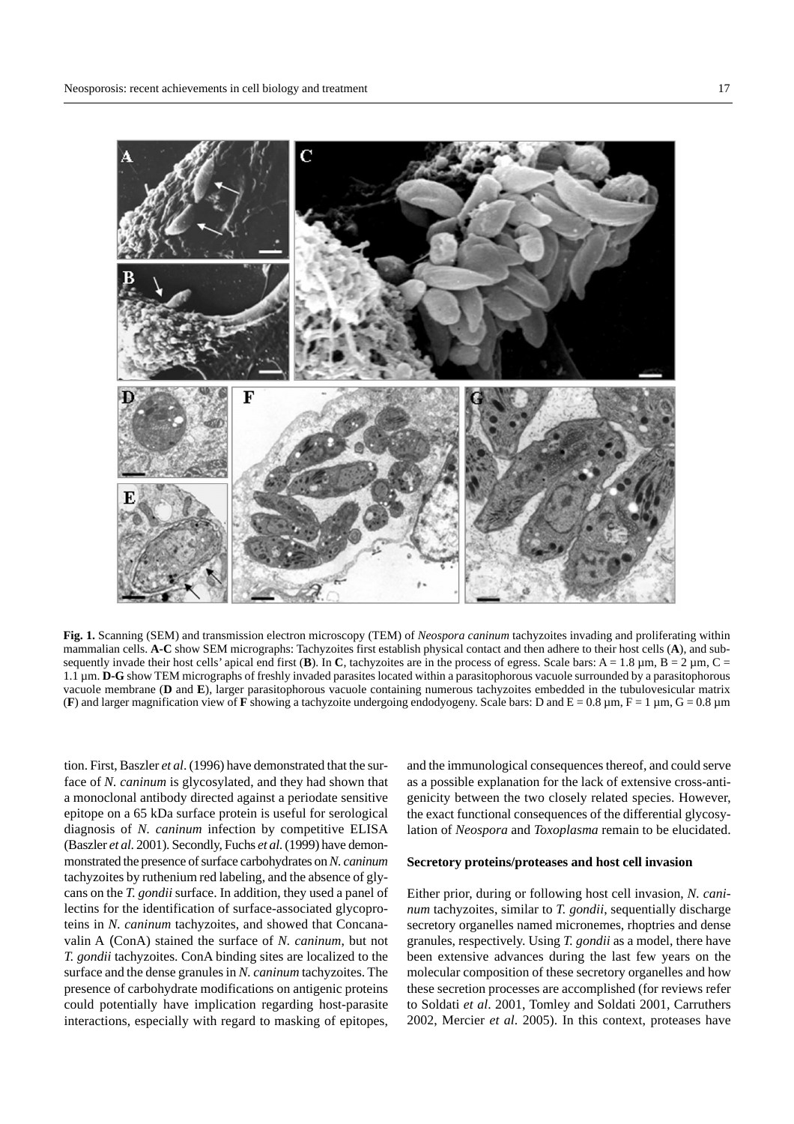

**Fig. 1.** Scanning (SEM) and transmission electron microscopy (TEM) of *Neospora caninum* tachyzoites invading and proliferating within mammalian cells. **A-C** show SEM micrographs: Tachyzoites first establish physical contact and then adhere to their host cells (**A**), and subsequently invade their host cells' apical end first (**B**). In **C**, tachyzoites are in the process of egress. Scale bars:  $A = 1.8 \mu m$ ,  $B = 2 \mu m$ ,  $C =$ 1.1 µm. **D-G** show TEM micrographs of freshly invaded parasites located within a parasitophorous vacuole surrounded by a parasitophorous vacuole membrane (**D** and **E**), larger parasitophorous vacuole containing numerous tachyzoites embedded in the tubulovesicular matrix **(F)** and larger magnification view of **F** showing a tachyzoite undergoing endodyogeny. Scale bars: D and  $E = 0.8 \mu m$ ,  $F = 1 \mu m$ ,  $G = 0.8 \mu m$ 

tion. First, Baszler *et al*. (1996) have demonstrated that the surface of *N. caninum* is glycosylated, and they had shown that a monoclonal antibody directed against a periodate sensitive epitope on a 65 kDa surface protein is useful for serological diagnosis of *N. caninum* infection by competitive ELISA (Baszler *et al*. 2001). Secondly, Fuchs *et al*. (1999) have demonmonstrated the presence of surface carbohydrates on *N. caninum* tachyzoites by ruthenium red labeling, and the absence of glycans on the *T. gondii* surface. In addition, they used a panel of lectins for the identification of surface-associated glycoproteins in *N. caninum* tachyzoites, and showed that Concanavalin A (ConA) stained the surface of *N. caninum*, but not *T. gondii* tachyzoites. ConA binding sites are localized to the surface and the dense granules in *N. caninum* tachyzoites. The presence of carbohydrate modifications on antigenic proteins could potentially have implication regarding host-parasite interactions, especially with regard to masking of epitopes,

and the immunological consequences thereof, and could serve as a possible explanation for the lack of extensive cross-antigenicity between the two closely related species. However, the exact functional consequences of the differential glycosylation of *Neospora* and *Toxoplasma* remain to be elucidated.

#### **Secretory proteins/proteases and host cell invasion**

Either prior, during or following host cell invasion, *N. caninum* tachyzoites, similar to *T. gondii*, sequentially discharge secretory organelles named micronemes, rhoptries and dense granules, respectively. Using *T. gondii* as a model, there have been extensive advances during the last few years on the molecular composition of these secretory organelles and how these secretion processes are accomplished (for reviews refer to Soldati *et al*. 2001, Tomley and Soldati 2001, Carruthers 2002, Mercier *et al*. 2005). In this context, proteases have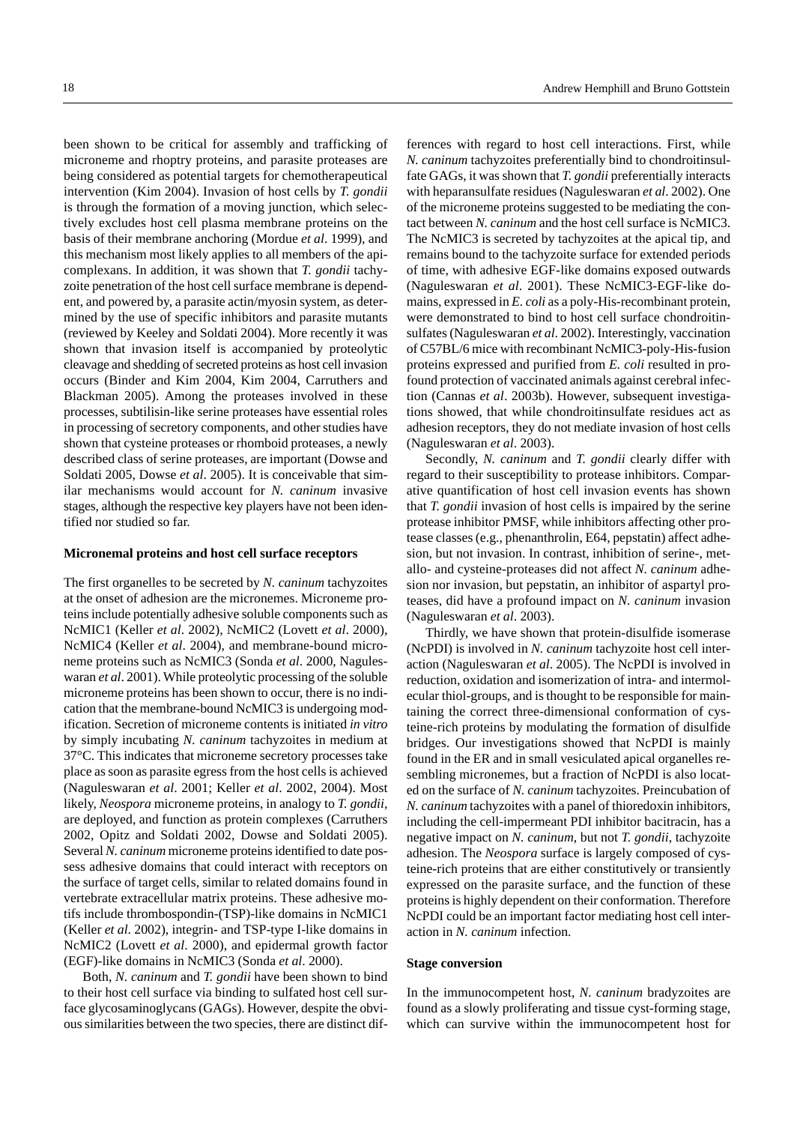been shown to be critical for assembly and trafficking of microneme and rhoptry proteins, and parasite proteases are being considered as potential targets for chemotherapeutical intervention (Kim 2004). Invasion of host cells by *T. gondii* is through the formation of a moving junction, which selectively excludes host cell plasma membrane proteins on the basis of their membrane anchoring (Mordue *et al*. 1999), and this mechanism most likely applies to all members of the apicomplexans. In addition, it was shown that *T. gondii* tachyzoite penetration of the host cell surface membrane is dependent, and powered by, a parasite actin/myosin system, as determined by the use of specific inhibitors and parasite mutants (reviewed by Keeley and Soldati 2004). More recently it was shown that invasion itself is accompanied by proteolytic cleavage and shedding of secreted proteins as host cell invasion occurs (Binder and Kim 2004, Kim 2004, Carruthers and Blackman 2005). Among the proteases involved in these processes, subtilisin-like serine proteases have essential roles in processing of secretory components, and other studies have shown that cysteine proteases or rhomboid proteases, a newly described class of serine proteases, are important (Dowse and Soldati 2005, Dowse *et al*. 2005). It is conceivable that similar mechanisms would account for *N. caninum* invasive stages, although the respective key players have not been identified nor studied so far.

#### **Micronemal proteins and host cell surface receptors**

The first organelles to be secreted by *N. caninum* tachyzoites at the onset of adhesion are the micronemes. Microneme proteins include potentially adhesive soluble components such as NcMIC1 (Keller *et al*. 2002), NcMIC2 (Lovett *et al*. 2000), NcMIC4 (Keller *et al*. 2004), and membrane-bound microneme proteins such as NcMIC3 (Sonda *et al*. 2000, Naguleswaran *et al*. 2001). While proteolytic processing of the soluble microneme proteins has been shown to occur, there is no indication that the membrane-bound NcMIC3 is undergoing modification. Secretion of microneme contents is initiated *in vitro* by simply incubating *N. caninum* tachyzoites in medium at 37°C. This indicates that microneme secretory processes take place as soon as parasite egress from the host cells is achieved (Naguleswaran *et al*. 2001; Keller *et al*. 2002, 2004). Most likely, *Neospora* microneme proteins, in analogy to *T. gondii*, are deployed, and function as protein complexes (Carruthers 2002, Opitz and Soldati 2002, Dowse and Soldati 2005). Several *N. caninum* microneme proteins identified to date possess adhesive domains that could interact with receptors on the surface of target cells, similar to related domains found in vertebrate extracellular matrix proteins. These adhesive motifs include thrombospondin-(TSP)-like domains in NcMIC1 (Keller *et al*. 2002), integrin- and TSP-type I-like domains in NcMIC2 (Lovett *et al*. 2000), and epidermal growth factor (EGF)-like domains in NcMIC3 (Sonda *et al*. 2000).

Both, *N. caninum* and *T. gondii* have been shown to bind to their host cell surface via binding to sulfated host cell surface glycosaminoglycans (GAGs). However, despite the obvious similarities between the two species, there are distinct differences with regard to host cell interactions. First, while *N. caninum* tachyzoites preferentially bind to chondroitinsulfate GAGs, it was shown that *T. gondii* preferentially interacts with heparansulfate residues (Naguleswaran *et al*. 2002). One of the microneme proteins suggested to be mediating the contact between *N. caninum* and the host cell surface is NcMIC3. The NcMIC3 is secreted by tachyzoites at the apical tip, and remains bound to the tachyzoite surface for extended periods of time, with adhesive EGF-like domains exposed outwards (Naguleswaran *et al*. 2001). These NcMIC3-EGF-like domains, expressed in *E. coli* as a poly-His-recombinant protein, were demonstrated to bind to host cell surface chondroitinsulfates (Naguleswaran *et al*. 2002). Interestingly, vaccination of C57BL/6 mice with recombinant NcMIC3-poly-His-fusion proteins expressed and purified from *E. coli* resulted in profound protection of vaccinated animals against cerebral infection (Cannas *et al*. 2003b). However, subsequent investigations showed, that while chondroitinsulfate residues act as adhesion receptors, they do not mediate invasion of host cells (Naguleswaran *et al*. 2003).

Secondly, *N. caninum* and *T. gondii* clearly differ with regard to their susceptibility to protease inhibitors. Comparative quantification of host cell invasion events has shown that *T. gondii* invasion of host cells is impaired by the serine protease inhibitor PMSF, while inhibitors affecting other protease classes (e.g., phenanthrolin, E64, pepstatin) affect adhesion, but not invasion. In contrast, inhibition of serine-, metallo- and cysteine-proteases did not affect *N. caninum* adhesion nor invasion, but pepstatin, an inhibitor of aspartyl proteases, did have a profound impact on *N. caninum* invasion (Naguleswaran *et al*. 2003).

Thirdly, we have shown that protein-disulfide isomerase (NcPDI) is involved in *N. caninum* tachyzoite host cell interaction (Naguleswaran *et al*. 2005). The NcPDI is involved in reduction, oxidation and isomerization of intra- and intermolecular thiol-groups, and is thought to be responsible for maintaining the correct three-dimensional conformation of cysteine-rich proteins by modulating the formation of disulfide bridges. Our investigations showed that NcPDI is mainly found in the ER and in small vesiculated apical organelles resembling micronemes, but a fraction of NcPDI is also located on the surface of *N. caninum* tachyzoites. Preincubation of *N. caninum* tachyzoites with a panel of thioredoxin inhibitors, including the cell-impermeant PDI inhibitor bacitracin, has a negative impact on *N. caninum*, but not *T. gondii*, tachyzoite adhesion. The *Neospora* surface is largely composed of cysteine-rich proteins that are either constitutively or transiently expressed on the parasite surface, and the function of these proteins is highly dependent on their conformation. Therefore NcPDI could be an important factor mediating host cell interaction in *N. caninum* infection.

### **Stage conversion**

In the immunocompetent host, *N. caninum* bradyzoites are found as a slowly proliferating and tissue cyst-forming stage, which can survive within the immunocompetent host for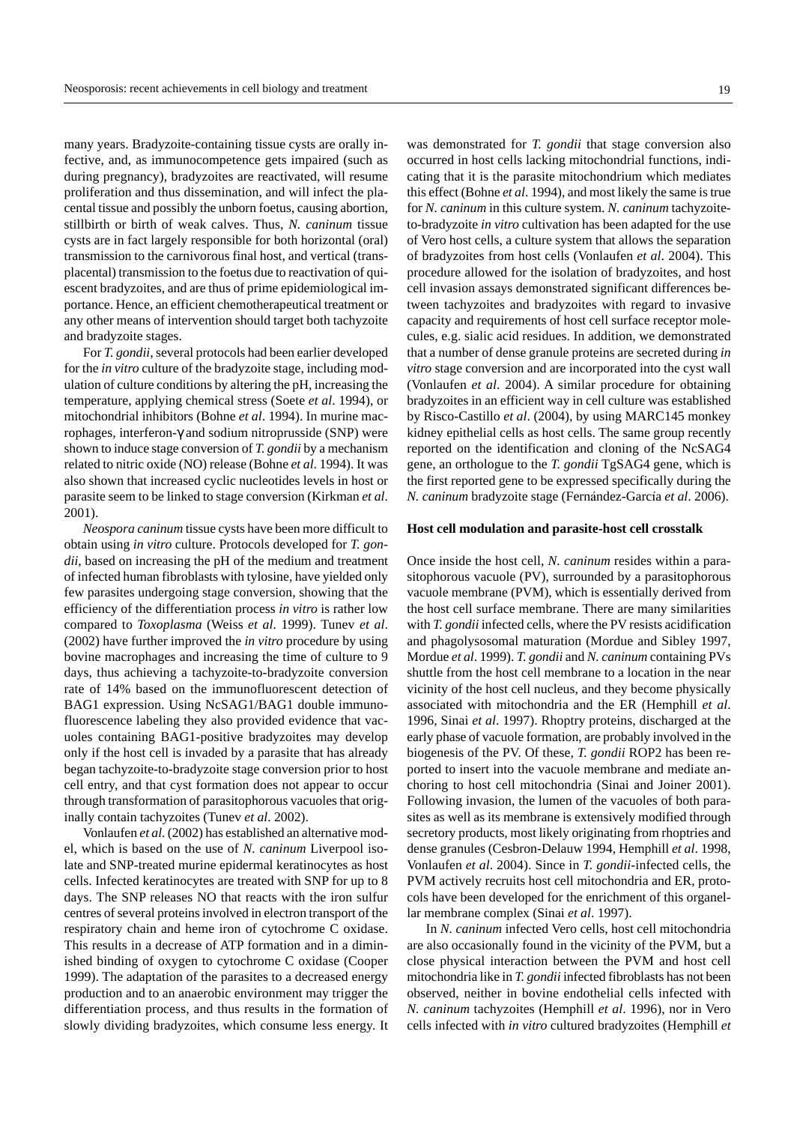many years. Bradyzoite-containing tissue cysts are orally infective, and, as immunocompetence gets impaired (such as during pregnancy), bradyzoites are reactivated, will resume proliferation and thus dissemination, and will infect the placental tissue and possibly the unborn foetus, causing abortion, stillbirth or birth of weak calves. Thus, *N. caninum* tissue cysts are in fact largely responsible for both horizontal (oral) transmission to the carnivorous final host, and vertical (transplacental) transmission to the foetus due to reactivation of quiescent bradyzoites, and are thus of prime epidemiological importance. Hence, an efficient chemotherapeutical treatment or any other means of intervention should target both tachyzoite and bradyzoite stages.

For *T. gondii*, several protocols had been earlier developed for the *in vitro* culture of the bradyzoite stage, including modulation of culture conditions by altering the pH, increasing the temperature, applying chemical stress (Soete *et al*. 1994), or mitochondrial inhibitors (Bohne *et al*. 1994). In murine macrophages, interferon-γ and sodium nitroprusside (SNP) were shown to induce stage conversion of *T. gondii* by a mechanism related to nitric oxide (NO) release (Bohne *et al*. 1994). It was also shown that increased cyclic nucleotides levels in host or parasite seem to be linked to stage conversion (Kirkman *et al*. 2001).

*Neospora caninum* tissue cysts have been more difficult to obtain using *in vitro* culture. Protocols developed for *T. gondii*, based on increasing the pH of the medium and treatment of infected human fibroblasts with tylosine, have yielded only few parasites undergoing stage conversion, showing that the efficiency of the differentiation process *in vitro* is rather low compared to *Toxoplasma* (Weiss *et al*. 1999). Tunev *et al*. (2002) have further improved the *in vitro* procedure by using bovine macrophages and increasing the time of culture to 9 days, thus achieving a tachyzoite-to-bradyzoite conversion rate of 14% based on the immunofluorescent detection of BAG1 expression. Using NcSAG1/BAG1 double immunofluorescence labeling they also provided evidence that vacuoles containing BAG1-positive bradyzoites may develop only if the host cell is invaded by a parasite that has already began tachyzoite-to-bradyzoite stage conversion prior to host cell entry, and that cyst formation does not appear to occur through transformation of parasitophorous vacuoles that originally contain tachyzoites (Tunev *et al*. 2002).

Vonlaufen *et al*. (2002) has established an alternative model, which is based on the use of *N. caninum* Liverpool isolate and SNP-treated murine epidermal keratinocytes as host cells. Infected keratinocytes are treated with SNP for up to 8 days. The SNP releases NO that reacts with the iron sulfur centres of several proteins involved in electron transport of the respiratory chain and heme iron of cytochrome C oxidase. This results in a decrease of ATP formation and in a diminished binding of oxygen to cytochrome C oxidase (Cooper 1999). The adaptation of the parasites to a decreased energy production and to an anaerobic environment may trigger the differentiation process, and thus results in the formation of slowly dividing bradyzoites, which consume less energy. It

was demonstrated for *T. gondii* that stage conversion also occurred in host cells lacking mitochondrial functions, indicating that it is the parasite mitochondrium which mediates this effect (Bohne *et al*. 1994), and most likely the same is true for *N. caninum* in this culture system. *N. caninum* tachyzoiteto-bradyzoite *in vitro* cultivation has been adapted for the use of Vero host cells, a culture system that allows the separation of bradyzoites from host cells (Vonlaufen *et al*. 2004). This procedure allowed for the isolation of bradyzoites, and host cell invasion assays demonstrated significant differences between tachyzoites and bradyzoites with regard to invasive capacity and requirements of host cell surface receptor molecules, e.g. sialic acid residues. In addition, we demonstrated that a number of dense granule proteins are secreted during *in vitro* stage conversion and are incorporated into the cyst wall (Vonlaufen *et al*. 2004). A similar procedure for obtaining bradyzoites in an efficient way in cell culture was established by Risco-Castillo *et al*. (2004), by using MARC145 monkey kidney epithelial cells as host cells. The same group recently reported on the identification and cloning of the NcSAG4 gene, an orthologue to the *T. gondii* TgSAG4 gene, which is the first reported gene to be expressed specifically during the *N. caninum* bradyzoite stage (Fernández-García et al. 2006).

#### **Host cell modulation and parasite-host cell crosstalk**

Once inside the host cell, *N. caninum* resides within a parasitophorous vacuole (PV), surrounded by a parasitophorous vacuole membrane (PVM), which is essentially derived from the host cell surface membrane. There are many similarities with *T. gondii* infected cells, where the PV resists acidification and phagolysosomal maturation (Mordue and Sibley 1997, Mordue *et al*. 1999). *T. gondii* and *N. caninum* containing PVs shuttle from the host cell membrane to a location in the near vicinity of the host cell nucleus, and they become physically associated with mitochondria and the ER (Hemphill *et al*. 1996, Sinai *et al*. 1997). Rhoptry proteins, discharged at the early phase of vacuole formation, are probably involved in the biogenesis of the PV. Of these, *T. gondii* ROP2 has been reported to insert into the vacuole membrane and mediate anchoring to host cell mitochondria (Sinai and Joiner 2001). Following invasion, the lumen of the vacuoles of both parasites as well as its membrane is extensively modified through secretory products, most likely originating from rhoptries and dense granules (Cesbron-Delauw 1994, Hemphill *et al*. 1998, Vonlaufen *et al*. 2004). Since in *T. gondii*-infected cells, the PVM actively recruits host cell mitochondria and ER, protocols have been developed for the enrichment of this organellar membrane complex (Sinai *et al*. 1997).

In *N. caninum* infected Vero cells, host cell mitochondria are also occasionally found in the vicinity of the PVM, but a close physical interaction between the PVM and host cell mitochondria like in *T. gondii* infected fibroblasts has not been observed, neither in bovine endothelial cells infected with *N. caninum* tachyzoites (Hemphill *et al*. 1996), nor in Vero cells infected with *in vitro* cultured bradyzoites (Hemphill *et*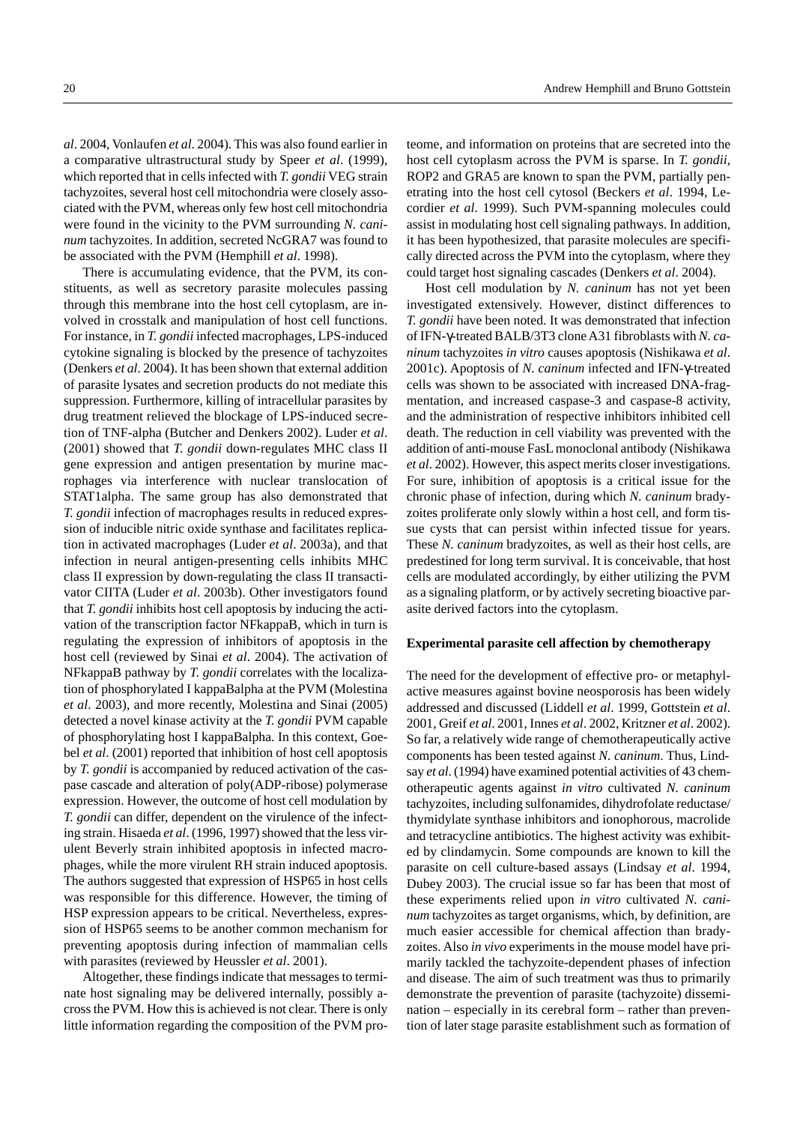*al*. 2004, Vonlaufen *et al*. 2004). This was also found earlier in a comparative ultrastructural study by Speer *et al*. (1999), which reported that in cells infected with *T. gondii* VEG strain tachyzoites, several host cell mitochondria were closely associated with the PVM, whereas only few host cell mitochondria were found in the vicinity to the PVM surrounding *N. caninum* tachyzoites. In addition, secreted NcGRA7 was found to be associated with the PVM (Hemphill *et al*. 1998).

There is accumulating evidence, that the PVM, its constituents, as well as secretory parasite molecules passing through this membrane into the host cell cytoplasm, are involved in crosstalk and manipulation of host cell functions. For instance, in *T. gondii* infected macrophages, LPS-induced cytokine signaling is blocked by the presence of tachyzoites (Denkers *et al*. 2004). It has been shown that external addition of parasite lysates and secretion products do not mediate this suppression. Furthermore, killing of intracellular parasites by drug treatment relieved the blockage of LPS-induced secretion of TNF-alpha (Butcher and Denkers 2002). Luder *et al*. (2001) showed that *T. gondii* down-regulates MHC class II gene expression and antigen presentation by murine macrophages via interference with nuclear translocation of STAT1alpha. The same group has also demonstrated that *T. gondii* infection of macrophages results in reduced expression of inducible nitric oxide synthase and facilitates replication in activated macrophages (Luder *et al*. 2003a), and that infection in neural antigen-presenting cells inhibits MHC class II expression by down-regulating the class II transactivator CIITA (Luder *et al*. 2003b). Other investigators found that *T. gondii* inhibits host cell apoptosis by inducing the activation of the transcription factor NFkappaB, which in turn is regulating the expression of inhibitors of apoptosis in the host cell (reviewed by Sinai *et al*. 2004). The activation of NFkappaB pathway by *T. gondii* correlates with the localization of phosphorylated I kappaBalpha at the PVM (Molestina *et al*. 2003), and more recently, Molestina and Sinai (2005) detected a novel kinase activity at the *T. gondii* PVM capable of phosphorylating host I kappaBalpha. In this context, Goebel *et al*. (2001) reported that inhibition of host cell apoptosis by *T. gondii* is accompanied by reduced activation of the caspase cascade and alteration of poly(ADP-ribose) polymerase expression. However, the outcome of host cell modulation by *T. gondii* can differ, dependent on the virulence of the infecting strain. Hisaeda *et al*. (1996, 1997) showed that the less virulent Beverly strain inhibited apoptosis in infected macrophages, while the more virulent RH strain induced apoptosis. The authors suggested that expression of HSP65 in host cells was responsible for this difference. However, the timing of HSP expression appears to be critical. Nevertheless, expression of HSP65 seems to be another common mechanism for preventing apoptosis during infection of mammalian cells with parasites (reviewed by Heussler *et al*. 2001).

Altogether, these findings indicate that messages to terminate host signaling may be delivered internally, possibly across the PVM. How this is achieved is not clear. There is only little information regarding the composition of the PVM proteome, and information on proteins that are secreted into the host cell cytoplasm across the PVM is sparse. In *T. gondii*, ROP2 and GRA5 are known to span the PVM, partially penetrating into the host cell cytosol (Beckers *et al*. 1994, Lecordier *et al*. 1999). Such PVM-spanning molecules could assist in modulating host cell signaling pathways. In addition, it has been hypothesized, that parasite molecules are specifically directed across the PVM into the cytoplasm, where they could target host signaling cascades (Denkers *et al*. 2004).

Host cell modulation by *N. caninum* has not yet been investigated extensively. However, distinct differences to *T. gondii* have been noted. It was demonstrated that infection of IFN-γ-treated BALB/3T3 clone A31 fibroblasts with *N. caninum* tachyzoites *in vitro* causes apoptosis (Nishikawa *et al*. 2001c). Apoptosis of *N. caninum* infected and IFN-γ-treated cells was shown to be associated with increased DNA-fragmentation, and increased caspase-3 and caspase-8 activity, and the administration of respective inhibitors inhibited cell death. The reduction in cell viability was prevented with the addition of anti-mouse FasL monoclonal antibody (Nishikawa *et al*. 2002). However, this aspect merits closer investigations. For sure, inhibition of apoptosis is a critical issue for the chronic phase of infection, during which *N. caninum* bradyzoites proliferate only slowly within a host cell, and form tissue cysts that can persist within infected tissue for years. These *N. caninum* bradyzoites, as well as their host cells, are predestined for long term survival. It is conceivable, that host cells are modulated accordingly, by either utilizing the PVM as a signaling platform, or by actively secreting bioactive parasite derived factors into the cytoplasm.

#### **Experimental parasite cell affection by chemotherapy**

The need for the development of effective pro- or metaphylactive measures against bovine neosporosis has been widely addressed and discussed (Liddell *et al*. 1999, Gottstein *et al*. 2001, Greif *et al*. 2001, Innes *et al*. 2002, Kritzner *et al*. 2002). So far, a relatively wide range of chemotherapeutically active components has been tested against *N. caninum*. Thus, Lindsay *et al*. (1994) have examined potential activities of 43 chemotherapeutic agents against *in vitro* cultivated *N. caninum* tachyzoites, including sulfonamides, dihydrofolate reductase/ thymidylate synthase inhibitors and ionophorous, macrolide and tetracycline antibiotics. The highest activity was exhibited by clindamycin. Some compounds are known to kill the parasite on cell culture-based assays (Lindsay *et al*. 1994, Dubey 2003). The crucial issue so far has been that most of these experiments relied upon *in vitro* cultivated *N. caninum* tachyzoites as target organisms, which, by definition, are much easier accessible for chemical affection than bradyzoites. Also *in vivo* experiments in the mouse model have primarily tackled the tachyzoite-dependent phases of infection and disease. The aim of such treatment was thus to primarily demonstrate the prevention of parasite (tachyzoite) dissemination – especially in its cerebral form – rather than prevention of later stage parasite establishment such as formation of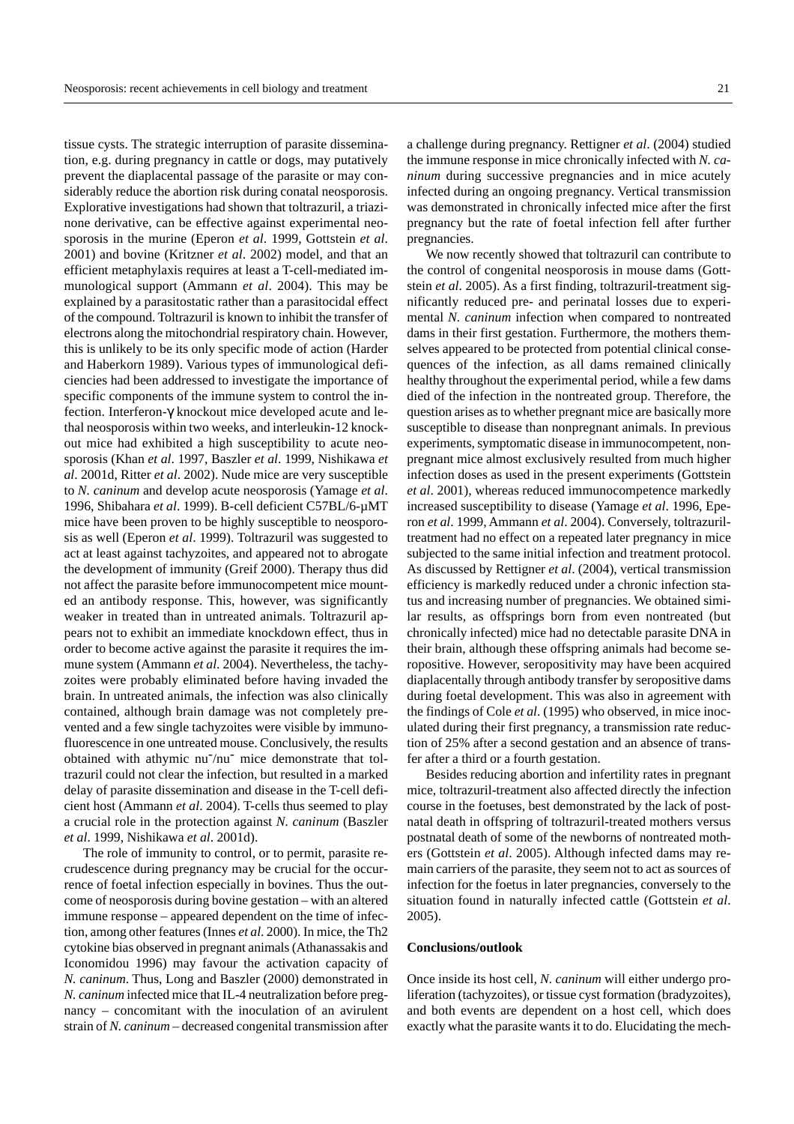tissue cysts. The strategic interruption of parasite dissemination, e.g. during pregnancy in cattle or dogs, may putatively prevent the diaplacental passage of the parasite or may considerably reduce the abortion risk during conatal neosporosis. Explorative investigations had shown that toltrazuril, a triazinone derivative, can be effective against experimental neosporosis in the murine (Eperon *et al*. 1999, Gottstein *et al*. 2001) and bovine (Kritzner *et al*. 2002) model, and that an efficient metaphylaxis requires at least a T-cell-mediated immunological support (Ammann *et al*. 2004). This may be explained by a parasitostatic rather than a parasitocidal effect of the compound. Toltrazuril is known to inhibit the transfer of electrons along the mitochondrial respiratory chain. However, this is unlikely to be its only specific mode of action (Harder and Haberkorn 1989). Various types of immunological deficiencies had been addressed to investigate the importance of specific components of the immune system to control the infection. Interferon-γ knockout mice developed acute and lethal neosporosis within two weeks, and interleukin-12 knockout mice had exhibited a high susceptibility to acute neosporosis (Khan *et al*. 1997, Baszler *et al*. 1999, Nishikawa *et al*. 2001d, Ritter *et al*. 2002). Nude mice are very susceptible to *N. caninum* and develop acute neosporosis (Yamage *et al*. 1996, Shibahara *et al*. 1999). B-cell deficient C57BL/6-µMT mice have been proven to be highly susceptible to neosporosis as well (Eperon *et al*. 1999). Toltrazuril was suggested to act at least against tachyzoites, and appeared not to abrogate the development of immunity (Greif 2000). Therapy thus did not affect the parasite before immunocompetent mice mounted an antibody response. This, however, was significantly weaker in treated than in untreated animals. Toltrazuril appears not to exhibit an immediate knockdown effect, thus in order to become active against the parasite it requires the immune system (Ammann *et al*. 2004). Nevertheless, the tachyzoites were probably eliminated before having invaded the brain. In untreated animals, the infection was also clinically contained, although brain damage was not completely prevented and a few single tachyzoites were visible by immunofluorescence in one untreated mouse. Conclusively, the results obtained with athymic nu<sup>-/nu-</sup> mice demonstrate that toltrazuril could not clear the infection, but resulted in a marked delay of parasite dissemination and disease in the T-cell deficient host (Ammann *et al*. 2004). T-cells thus seemed to play a crucial role in the protection against *N. caninum* (Baszler *et al*. 1999, Nishikawa *et al*. 2001d).

The role of immunity to control, or to permit, parasite recrudescence during pregnancy may be crucial for the occurrence of foetal infection especially in bovines. Thus the outcome of neosporosis during bovine gestation – with an altered immune response – appeared dependent on the time of infection, among other features (Innes *et al*. 2000). In mice, the Th2 cytokine bias observed in pregnant animals (Athanassakis and Iconomidou 1996) may favour the activation capacity of *N. caninum*. Thus, Long and Baszler (2000) demonstrated in *N. caninum* infected mice that IL-4 neutralization before pregnancy – concomitant with the inoculation of an avirulent strain of *N. caninum* – decreased congenital transmission after

a challenge during pregnancy. Rettigner *et al*. (2004) studied the immune response in mice chronically infected with *N. caninum* during successive pregnancies and in mice acutely infected during an ongoing pregnancy. Vertical transmission was demonstrated in chronically infected mice after the first pregnancy but the rate of foetal infection fell after further pregnancies.

We now recently showed that toltrazuril can contribute to the control of congenital neosporosis in mouse dams (Gottstein *et al*. 2005). As a first finding, toltrazuril-treatment significantly reduced pre- and perinatal losses due to experimental *N. caninum* infection when compared to nontreated dams in their first gestation. Furthermore, the mothers themselves appeared to be protected from potential clinical consequences of the infection, as all dams remained clinically healthy throughout the experimental period, while a few dams died of the infection in the nontreated group. Therefore, the question arises as to whether pregnant mice are basically more susceptible to disease than nonpregnant animals. In previous experiments, symptomatic disease in immunocompetent, nonpregnant mice almost exclusively resulted from much higher infection doses as used in the present experiments (Gottstein *et al*. 2001), whereas reduced immunocompetence markedly increased susceptibility to disease (Yamage *et al*. 1996, Eperon *et al*. 1999, Ammann *et al*. 2004). Conversely, toltrazuriltreatment had no effect on a repeated later pregnancy in mice subjected to the same initial infection and treatment protocol. As discussed by Rettigner *et al*. (2004), vertical transmission efficiency is markedly reduced under a chronic infection status and increasing number of pregnancies. We obtained similar results, as offsprings born from even nontreated (but chronically infected) mice had no detectable parasite DNA in their brain, although these offspring animals had become seropositive. However, seropositivity may have been acquired diaplacentally through antibody transfer by seropositive dams during foetal development. This was also in agreement with the findings of Cole *et al*. (1995) who observed, in mice inoculated during their first pregnancy, a transmission rate reduction of 25% after a second gestation and an absence of transfer after a third or a fourth gestation.

Besides reducing abortion and infertility rates in pregnant mice, toltrazuril-treatment also affected directly the infection course in the foetuses, best demonstrated by the lack of postnatal death in offspring of toltrazuril-treated mothers versus postnatal death of some of the newborns of nontreated mothers (Gottstein *et al*. 2005). Although infected dams may remain carriers of the parasite, they seem not to act as sources of infection for the foetus in later pregnancies, conversely to the situation found in naturally infected cattle (Gottstein *et al*. 2005).

#### **Conclusions/outlook**

Once inside its host cell, *N. caninum* will either undergo proliferation (tachyzoites), or tissue cyst formation (bradyzoites), and both events are dependent on a host cell, which does exactly what the parasite wants it to do. Elucidating the mech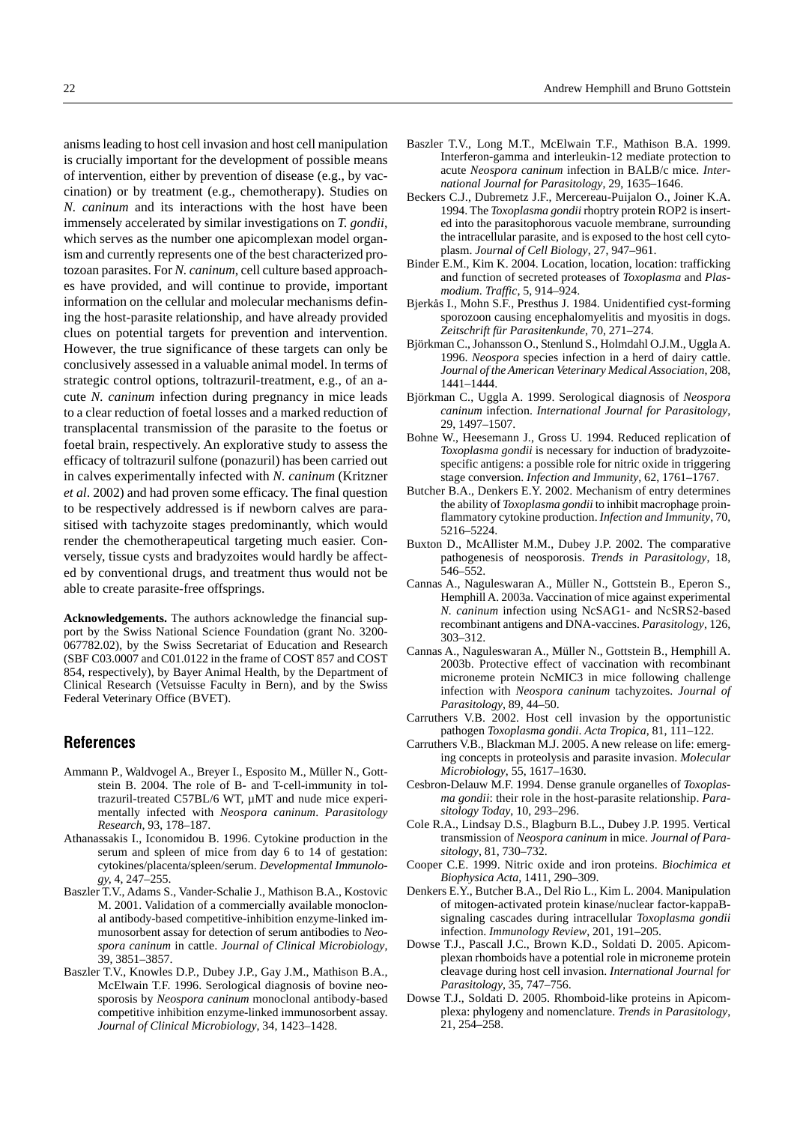anisms leading to host cell invasion and host cell manipulation is crucially important for the development of possible means of intervention, either by prevention of disease (e.g., by vaccination) or by treatment (e.g., chemotherapy). Studies on *N. caninum* and its interactions with the host have been immensely accelerated by similar investigations on *T. gondii*, which serves as the number one apicomplexan model organism and currently represents one of the best characterized protozoan parasites. For *N. caninum*, cell culture based approaches have provided, and will continue to provide, important information on the cellular and molecular mechanisms defining the host-parasite relationship, and have already provided clues on potential targets for prevention and intervention. However, the true significance of these targets can only be conclusively assessed in a valuable animal model. In terms of strategic control options, toltrazuril-treatment, e.g., of an acute *N. caninum* infection during pregnancy in mice leads to a clear reduction of foetal losses and a marked reduction of transplacental transmission of the parasite to the foetus or foetal brain, respectively. An explorative study to assess the efficacy of toltrazuril sulfone (ponazuril) has been carried out in calves experimentally infected with *N. caninum* (Kritzner *et al*. 2002) and had proven some efficacy. The final question to be respectively addressed is if newborn calves are parasitised with tachyzoite stages predominantly, which would render the chemotherapeutical targeting much easier. Conversely, tissue cysts and bradyzoites would hardly be affected by conventional drugs, and treatment thus would not be able to create parasite-free offsprings.

**Acknowledgements.** The authors acknowledge the financial support by the Swiss National Science Foundation (grant No. 3200- 067782.02), by the Swiss Secretariat of Education and Research (SBF C03.0007 and C01.0122 in the frame of COST 857 and COST 854, respectively), by Bayer Animal Health, by the Department of Clinical Research (Vetsuisse Faculty in Bern), and by the Swiss Federal Veterinary Office (BVET).

## **References**

- Ammann P., Waldvogel A., Breyer I., Esposito M., Müller N., Gottstein B. 2004. The role of B- and T-cell-immunity in toltrazuril-treated C57BL/6 WT, µMT and nude mice experimentally infected with *Neospora caninum*. *Parasitology Research*, 93, 178–187.
- Athanassakis I., Iconomidou B. 1996. Cytokine production in the serum and spleen of mice from day 6 to 14 of gestation: cytokines/placenta/spleen/serum. *Developmental Immunology,* 4, 247–255.
- Baszler T.V., Adams S., Vander-Schalie J., Mathison B.A., Kostovic M. 2001. Validation of a commercially available monoclonal antibody-based competitive-inhibition enzyme-linked immunosorbent assay for detection of serum antibodies to *Neospora caninum* in cattle. *Journal of Clinical Microbiology*, 39, 3851–3857.
- Baszler T.V., Knowles D.P., Dubey J.P., Gay J.M., Mathison B.A., McElwain T.F. 1996. Serological diagnosis of bovine neosporosis by *Neospora caninum* monoclonal antibody-based competitive inhibition enzyme-linked immunosorbent assay. *Journal of Clinical Microbiology*, 34, 1423–1428.
- Baszler T.V., Long M.T., McElwain T.F., Mathison B.A. 1999. Interferon-gamma and interleukin-12 mediate protection to acute *Neospora caninum* infection in BALB/c mice. *International Journal for Parasitology*, 29, 1635–1646.
- Beckers C.J., Dubremetz J.F., Mercereau-Puijalon O., Joiner K.A. 1994. The *Toxoplasma gondii* rhoptry protein ROP2 is inserted into the parasitophorous vacuole membrane, surrounding the intracellular parasite, and is exposed to the host cell cytoplasm. *Journal of Cell Biology*, 27, 947–961.
- Binder E.M., Kim K. 2004. Location, location, location: trafficking and function of secreted proteases of *Toxoplasma* and *Plasmodium*. *Traffic*, 5, 914–924.
- Bjerkås I., Mohn S.F., Presthus J. 1984. Unidentified cyst-forming sporozoon causing encephalomyelitis and myositis in dogs. *Zeitschrift für Parasitenkunde*, 70, 271–274.
- Björkman C., Johansson O., Stenlund S., Holmdahl O.J.M., Uggla A. 1996. *Neospora* species infection in a herd of dairy cattle. *Journal of the American Veterinary Medical Association*, 208, 1441–1444.
- Björkman C., Uggla A. 1999. Serological diagnosis of *Neospora caninum* infection. *International Journal for Parasitology*, 29, 1497–1507.
- Bohne W., Heesemann J., Gross U. 1994. Reduced replication of *Toxoplasma gondii* is necessary for induction of bradyzoitespecific antigens: a possible role for nitric oxide in triggering stage conversion. *Infection and Immunity*, 62, 1761–1767.
- Butcher B.A., Denkers E.Y. 2002. Mechanism of entry determines the ability of *Toxoplasma gondii* to inhibit macrophage proinflammatory cytokine production. *Infection and Immunity*, 70, 5216–5224.
- Buxton D., McAllister M.M., Dubey J.P. 2002. The comparative pathogenesis of neosporosis. *Trends in Parasitology*, 18, 546–552.
- Cannas A., Naguleswaran A., Müller N., Gottstein B., Eperon S., Hemphill A. 2003a. Vaccination of mice against experimental *N. caninum* infection using NcSAG1- and NcSRS2-based recombinant antigens and DNA-vaccines. *Parasitology*, 126, 303–312.
- Cannas A., Naguleswaran A., Müller N., Gottstein B., Hemphill A. 2003b. Protective effect of vaccination with recombinant microneme protein NcMIC3 in mice following challenge infection with *Neospora caninum* tachyzoites. *Journal of Parasitology*, 89, 44–50.
- Carruthers V.B. 2002. Host cell invasion by the opportunistic pathogen *Toxoplasma gondii*. *Acta Tropica*, 81, 111–122.
- Carruthers V.B., Blackman M.J. 2005. A new release on life: emerging concepts in proteolysis and parasite invasion. *Molecular Microbiology*, 55, 1617–1630.
- Cesbron-Delauw M.F. 1994. Dense granule organelles of *Toxoplasma gondii*: their role in the host-parasite relationship. *Parasitology Today*, 10, 293–296.
- Cole R.A., Lindsay D.S., Blagburn B.L., Dubey J.P. 1995. Vertical transmission of *Neospora caninum* in mice. *Journal of Parasitology*, 81, 730–732.
- Cooper C.E. 1999. Nitric oxide and iron proteins. *Biochimica et Biophysica Acta*, 1411, 290–309.
- Denkers E.Y., Butcher B.A., Del Rio L., Kim L. 2004. Manipulation of mitogen-activated protein kinase/nuclear factor-kappaBsignaling cascades during intracellular *Toxoplasma gondii* infection. *Immunology Review*, 201, 191–205.
- Dowse T.J., Pascall J.C., Brown K.D., Soldati D. 2005. Apicomplexan rhomboids have a potential role in microneme protein cleavage during host cell invasion. *International Journal for Parasitology*, 35, 747–756.
- Dowse T.J., Soldati D. 2005. Rhomboid-like proteins in Apicomplexa: phylogeny and nomenclature. *Trends in Parasitology*, 21, 254–258.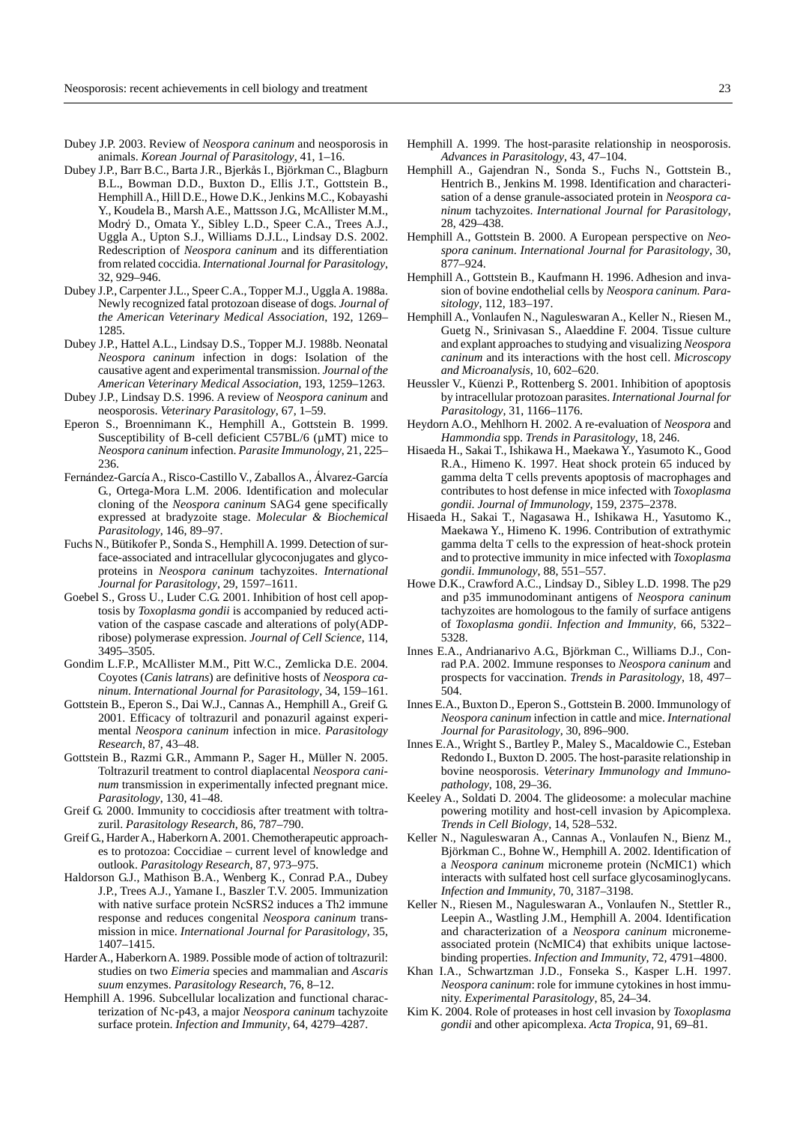- Dubey J.P. 2003. Review of *Neospora caninum* and neosporosis in animals. *Korean Journal of Parasitology*, 41, 1–16.
- Dubey J.P., Barr B.C., Barta J.R., Bjerkås I., Björkman C., Blagburn B.L., Bowman D.D., Buxton D., Ellis J.T., Gottstein B., Hemphill A., Hill D.E., Howe D.K., Jenkins M.C., Kobayashi Y., Koudela B., Marsh A.E., Mattsson J.G., McAllister M.M., Modrý D., Omata Y., Sibley L.D., Speer C.A., Trees A.J., Uggla A., Upton S.J., Williams D.J.L., Lindsay D.S. 2002. Redescription of *Neospora caninum* and its differentiation from related coccidia. *International Journal for Parasitology*, 32, 929–946.
- Dubey J.P., Carpenter J.L., Speer C.A., Topper M.J., Uggla A. 1988a. Newly recognized fatal protozoan disease of dogs. *Journal of the American Veterinary Medical Association*, 192, 1269– 1285.
- Dubey J.P., Hattel A.L., Lindsay D.S., Topper M.J. 1988b. Neonatal *Neospora caninum* infection in dogs: Isolation of the causative agent and experimental transmission. *Journal of the American Veterinary Medical Association*, 193, 1259–1263.
- Dubey J.P., Lindsay D.S. 1996. A review of *Neospora caninum* and neosporosis. *Veterinary Parasitology*, 67, 1–59.
- Eperon S., Broennimann K., Hemphill A., Gottstein B. 1999. Susceptibility of B-cell deficient C57BL/6 (µMT) mice to *Neospora caninum* infection. *Parasite Immunology*, 21, 225– 236.
- Fernández-García A., Risco-Castillo V., Zaballos A., Álvarez-García G., Ortega-Mora L.M. 2006. Identification and molecular cloning of the *Neospora caninum* SAG4 gene specifically expressed at bradyzoite stage. *Molecular & Biochemical Parasitology*, 146, 89–97.
- Fuchs N., Bütikofer P., Sonda S., Hemphill A. 1999. Detection of surface-associated and intracellular glycoconjugates and glycoproteins in *Neospora caninum* tachyzoites. *International Journal for Parasitology*, 29, 1597–1611.
- Goebel S., Gross U., Luder C.G. 2001. Inhibition of host cell apoptosis by *Toxoplasma gondii* is accompanied by reduced activation of the caspase cascade and alterations of poly(ADPribose) polymerase expression. *Journal of Cell Science*, 114, 3495–3505.
- Gondim L.F.P., McAllister M.M., Pitt W.C., Zemlicka D.E. 2004. Coyotes (*Canis latrans*) are definitive hosts of *Neospora caninum*. *International Journal for Parasitology*, 34, 159–161.
- Gottstein B., Eperon S., Dai W.J., Cannas A., Hemphill A., Greif G. 2001. Efficacy of toltrazuril and ponazuril against experimental *Neospora caninum* infection in mice. *Parasitology Research*, 87, 43–48.
- Gottstein B., Razmi G.R., Ammann P., Sager H., Müller N. 2005. Toltrazuril treatment to control diaplacental *Neospora caninum* transmission in experimentally infected pregnant mice. *Parasitology*, 130, 41–48.
- Greif G. 2000. Immunity to coccidiosis after treatment with toltrazuril. *Parasitology Research*, 86, 787–790.
- Greif G., Harder A., Haberkorn A. 2001. Chemotherapeutic approaches to protozoa: Coccidiae – current level of knowledge and outlook. *Parasitology Research*, 87, 973–975.
- Haldorson G.J., Mathison B.A., Wenberg K., Conrad P.A., Dubey J.P., Trees A.J., Yamane I., Baszler T.V. 2005. Immunization with native surface protein NcSRS2 induces a Th2 immune response and reduces congenital *Neospora caninum* transmission in mice. *International Journal for Parasitology*, 35, 1407–1415.
- Harder A., Haberkorn A. 1989. Possible mode of action of toltrazuril: studies on two *Eimeria* species and mammalian and *Ascaris suum* enzymes. *Parasitology Research*, 76, 8–12.
- Hemphill A. 1996. Subcellular localization and functional characterization of Nc-p43, a major *Neospora caninum* tachyzoite surface protein. *Infection and Immunity*, 64, 4279–4287.
- Hemphill A. 1999. The host-parasite relationship in neosporosis. *Advances in Parasitology*, 43, 47–104.
- Hemphill A., Gajendran N., Sonda S., Fuchs N., Gottstein B., Hentrich B., Jenkins M. 1998. Identification and characterisation of a dense granule-associated protein in *Neospora caninum* tachyzoites. *International Journal for Parasitology*, 28, 429–438.
- Hemphill A., Gottstein B. 2000. A European perspective on *Neospora caninum*. *International Journal for Parasitology*, 30, 877–924.
- Hemphill A., Gottstein B., Kaufmann H. 1996. Adhesion and invasion of bovine endothelial cells by *Neospora caninum. Parasitology*, 112, 183–197.
- Hemphill A., Vonlaufen N., Naguleswaran A., Keller N., Riesen M., Guetg N., Srinivasan S., Alaeddine F. 2004. Tissue culture and explant approaches to studying and visualizing *Neospora caninum* and its interactions with the host cell. *Microscopy and Microanalysis*, 10, 602–620.
- Heussler V., Küenzi P., Rottenberg S. 2001. Inhibition of apoptosis by intracellular protozoan parasites. *International Journal for Parasitology*, 31, 1166–1176.
- Heydorn A.O., Mehlhorn H. 2002. A re-evaluation of *Neospora* and *Hammondia* spp. *Trends in Parasitology*, 18, 246.
- Hisaeda H., Sakai T., Ishikawa H., Maekawa Y., Yasumoto K., Good R.A., Himeno K. 1997. Heat shock protein 65 induced by gamma delta T cells prevents apoptosis of macrophages and contributes to host defense in mice infected with *Toxoplasma gondii*. *Journal of Immunology*, 159, 2375–2378.
- Hisaeda H., Sakai T., Nagasawa H., Ishikawa H., Yasutomo K., Maekawa Y., Himeno K. 1996. Contribution of extrathymic gamma delta T cells to the expression of heat-shock protein and to protective immunity in mice infected with *Toxoplasma gondii*. *Immunology*, 88, 551–557.
- Howe D.K., Crawford A.C., Lindsay D., Sibley L.D. 1998. The p29 and p35 immunodominant antigens of *Neospora caninum* tachyzoites are homologous to the family of surface antigens of *Toxoplasma gondii*. *Infection and Immunity*, 66, 5322– 5328.
- Innes E.A., Andrianarivo A.G., Björkman C., Williams D.J., Conrad P.A. 2002. Immune responses to *Neospora caninum* and prospects for vaccination. *Trends in Parasitology*, 18, 497– 504.
- Innes E.A., Buxton D., Eperon S., Gottstein B. 2000. Immunology of *Neospora caninum* infection in cattle and mice. *International Journal for Parasitology*, 30, 896–900.
- Innes E.A., Wright S., Bartley P., Maley S., Macaldowie C., Esteban Redondo I., Buxton D. 2005. The host-parasite relationship in bovine neosporosis. *Veterinary Immunology and Immunopathology*, 108, 29–36.
- Keeley A., Soldati D. 2004. The glideosome: a molecular machine powering motility and host-cell invasion by Apicomplexa. *Trends in Cell Biology*, 14, 528–532.
- Keller N., Naguleswaran A., Cannas A., Vonlaufen N., Bienz M., Björkman C., Bohne W., Hemphill A. 2002. Identification of a *Neospora caninum* microneme protein (NcMIC1) which interacts with sulfated host cell surface glycosaminoglycans. *Infection and Immunity*, 70, 3187–3198.
- Keller N., Riesen M., Naguleswaran A., Vonlaufen N., Stettler R., Leepin A., Wastling J.M., Hemphill A. 2004. Identification and characterization of a *Neospora caninum* micronemeassociated protein (NcMIC4) that exhibits unique lactosebinding properties. *Infection and Immunity*, 72, 4791–4800.
- Khan I.A., Schwartzman J.D., Fonseka S., Kasper L.H. 1997. *Neospora caninum*: role for immune cytokines in host immunity. *Experimental Parasitology*, 85, 24–34.
- Kim K. 2004. Role of proteases in host cell invasion by *Toxoplasma gondii* and other apicomplexa. *Acta Tropica*, 91, 69–81.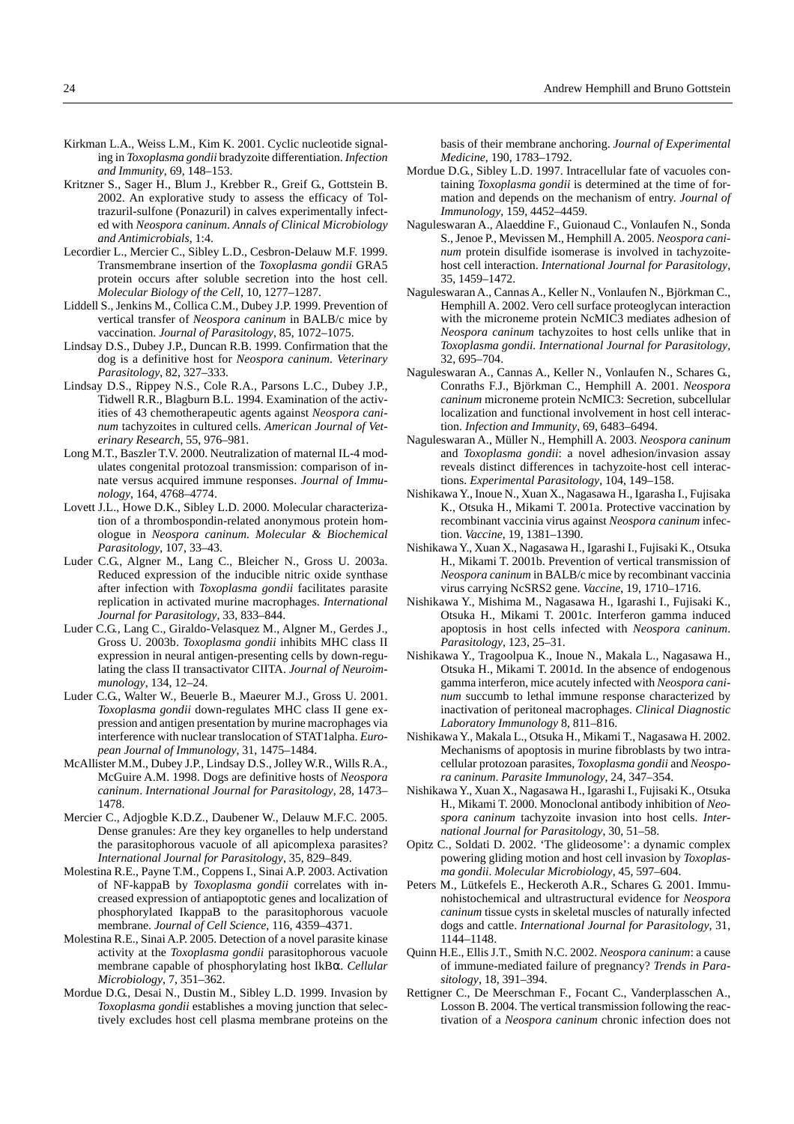- Kirkman L.A., Weiss L.M., Kim K. 2001. Cyclic nucleotide signaling in *Toxoplasma gondii* bradyzoite differentiation. *Infection and Immunity*, 69, 148–153.
- Kritzner S., Sager H., Blum J., Krebber R., Greif G., Gottstein B. 2002. An explorative study to assess the efficacy of Toltrazuril-sulfone (Ponazuril) in calves experimentally infected with *Neospora caninum*. *Annals of Clinical Microbiology and Antimicrobials*, 1:4.
- Lecordier L., Mercier C., Sibley L.D., Cesbron-Delauw M.F. 1999. Transmembrane insertion of the *Toxoplasma gondii* GRA5 protein occurs after soluble secretion into the host cell. *Molecular Biology of the Cell*, 10, 1277–1287.
- Liddell S., Jenkins M., Collica C.M., Dubey J.P. 1999. Prevention of vertical transfer of *Neospora caninum* in BALB/c mice by vaccination. *Journal of Parasitology*, 85, 1072–1075.
- Lindsay D.S., Dubey J.P., Duncan R.B. 1999. Confirmation that the dog is a definitive host for *Neospora caninum*. *Veterinary Parasitology*, 82, 327–333.
- Lindsay D.S., Rippey N.S., Cole R.A., Parsons L.C., Dubey J.P., Tidwell R.R., Blagburn B.L. 1994. Examination of the activities of 43 chemotherapeutic agents against *Neospora caninum* tachyzoites in cultured cells. *American Journal of Veterinary Research*, 55, 976–981.
- Long M.T., Baszler T.V. 2000. Neutralization of maternal IL-4 modulates congenital protozoal transmission: comparison of innate versus acquired immune responses. *Journal of Immunology*, 164, 4768–4774.
- Lovett J.L., Howe D.K., Sibley L.D. 2000. Molecular characterization of a thrombospondin-related anonymous protein homologue in *Neospora caninum. Molecular & Biochemical Parasitology*, 107, 33–43.
- Luder C.G., Algner M., Lang C., Bleicher N., Gross U. 2003a. Reduced expression of the inducible nitric oxide synthase after infection with *Toxoplasma gondii* facilitates parasite replication in activated murine macrophages. *International Journal for Parasitology*, 33, 833–844.
- Luder C.G., Lang C., Giraldo-Velasquez M., Algner M., Gerdes J., Gross U. 2003b. *Toxoplasma gondii* inhibits MHC class II expression in neural antigen-presenting cells by down-regulating the class II transactivator CIITA. *Journal of Neuroimmunology*, 134, 12–24.
- Luder C.G., Walter W., Beuerle B., Maeurer M.J., Gross U. 2001. *Toxoplasma gondii* down-regulates MHC class II gene expression and antigen presentation by murine macrophages via interference with nuclear translocation of STAT1alpha. *European Journal of Immunology*, 31, 1475–1484.
- McAllister M.M., Dubey J.P., Lindsay D.S., Jolley W.R., Wills R.A., McGuire A.M. 1998. Dogs are definitive hosts of *Neospora caninum*. *International Journal for Parasitology*, 28, 1473– 1478.
- Mercier C., Adjogble K.D.Z., Daubener W., Delauw M.F.C. 2005. Dense granules: Are they key organelles to help understand the parasitophorous vacuole of all apicomplexa parasites? *International Journal for Parasitology*, 35, 829–849.
- Molestina R.E., Payne T.M., Coppens I., Sinai A.P. 2003. Activation of NF-kappaB by *Toxoplasma gondii* correlates with increased expression of antiapoptotic genes and localization of phosphorylated IkappaB to the parasitophorous vacuole membrane. *Journal of Cell Science*, 116, 4359–4371.
- Molestina R.E., Sinai A.P. 2005. Detection of a novel parasite kinase activity at the *Toxoplasma gondii* parasitophorous vacuole membrane capable of phosphorylating host IkBα. *Cellular Microbiology*, 7, 351–362.
- Mordue D.G., Desai N., Dustin M., Sibley L.D. 1999. Invasion by *Toxoplasma gondii* establishes a moving junction that selectively excludes host cell plasma membrane proteins on the

basis of their membrane anchoring. *Journal of Experimental Medicine*, 190, 1783–1792.

- Mordue D.G., Sibley L.D. 1997. Intracellular fate of vacuoles containing *Toxoplasma gondii* is determined at the time of formation and depends on the mechanism of entry. *Journal of Immunology*, 159, 4452–4459.
- Naguleswaran A., Alaeddine F., Guionaud C., Vonlaufen N., Sonda S., Jenoe P., Mevissen M., Hemphill A. 2005. *Neospora caninum* protein disulfide isomerase is involved in tachyzoitehost cell interaction. *International Journal for Parasitology*, 35, 1459–1472.
- Naguleswaran A., Cannas A., Keller N., Vonlaufen N., Björkman C., Hemphill A. 2002. Vero cell surface proteoglycan interaction with the microneme protein NcMIC3 mediates adhesion of *Neospora caninum* tachyzoites to host cells unlike that in *Toxoplasma gondii. International Journal for Parasitology*, 32, 695–704.
- Naguleswaran A., Cannas A., Keller N., Vonlaufen N., Schares G., Conraths F.J., Björkman C., Hemphill A. 2001. *Neospora caninum* microneme protein NcMIC3: Secretion, subcellular localization and functional involvement in host cell interaction. *Infection and Immunity*, 69, 6483–6494.
- Naguleswaran A., Müller N., Hemphill A. 2003. *Neospora caninum* and *Toxoplasma gondii*: a novel adhesion/invasion assay reveals distinct differences in tachyzoite-host cell interactions. *Experimental Parasitology*, 104, 149–158.
- Nishikawa Y., Inoue N., Xuan X., Nagasawa H., Igarasha I., Fujisaka K., Otsuka H., Mikami T. 2001a. Protective vaccination by recombinant vaccinia virus against *Neospora caninum* infection. *Vaccine*, 19, 1381–1390.
- Nishikawa Y., Xuan X., Nagasawa H., Igarashi I., Fujisaki K., Otsuka H., Mikami T. 2001b. Prevention of vertical transmission of *Neospora caninum* in BALB/c mice by recombinant vaccinia virus carrying NcSRS2 gene. *Vaccine*, 19, 1710–1716.
- Nishikawa Y., Mishima M., Nagasawa H., Igarashi I., Fujisaki K., Otsuka H., Mikami T. 2001c. Interferon gamma induced apoptosis in host cells infected with *Neospora caninum*. *Parasitology*, 123, 25–31.
- Nishikawa Y., Tragoolpua K., Inoue N., Makala L., Nagasawa H., Otsuka H., Mikami T. 2001d. In the absence of endogenous gamma interferon, mice acutely infected with *Neospora caninum* succumb to lethal immune response characterized by inactivation of peritoneal macrophages. *Clinical Diagnostic Laboratory Immunology* 8, 811–816.
- Nishikawa Y., Makala L., Otsuka H., Mikami T., Nagasawa H. 2002. Mechanisms of apoptosis in murine fibroblasts by two intracellular protozoan parasites, *Toxoplasma gondii* and *Neospora caninum*. *Parasite Immunology*, 24, 347–354.
- Nishikawa Y., Xuan X., Nagasawa H., Igarashi I., Fujisaki K., Otsuka H., Mikami T. 2000. Monoclonal antibody inhibition of *Neospora caninum* tachyzoite invasion into host cells. *International Journal for Parasitology*, 30, 51–58.
- Opitz C., Soldati D. 2002. 'The glideosome': a dynamic complex powering gliding motion and host cell invasion by *Toxoplasma gondii*. *Molecular Microbiology*, 45, 597–604.
- Peters M., Lütkefels E., Heckeroth A.R., Schares G. 2001. Immunohistochemical and ultrastructural evidence for *Neospora caninum* tissue cysts in skeletal muscles of naturally infected dogs and cattle. *International Journal for Parasitology*, 31, 1144–1148.
- Quinn H.E., Ellis J.T., Smith N.C. 2002. *Neospora caninum*: a cause of immune-mediated failure of pregnancy? *Trends in Parasitology*, 18, 391–394.
- Rettigner C., De Meerschman F., Focant C., Vanderplasschen A., Losson B. 2004. The vertical transmission following the reactivation of a *Neospora caninum* chronic infection does not